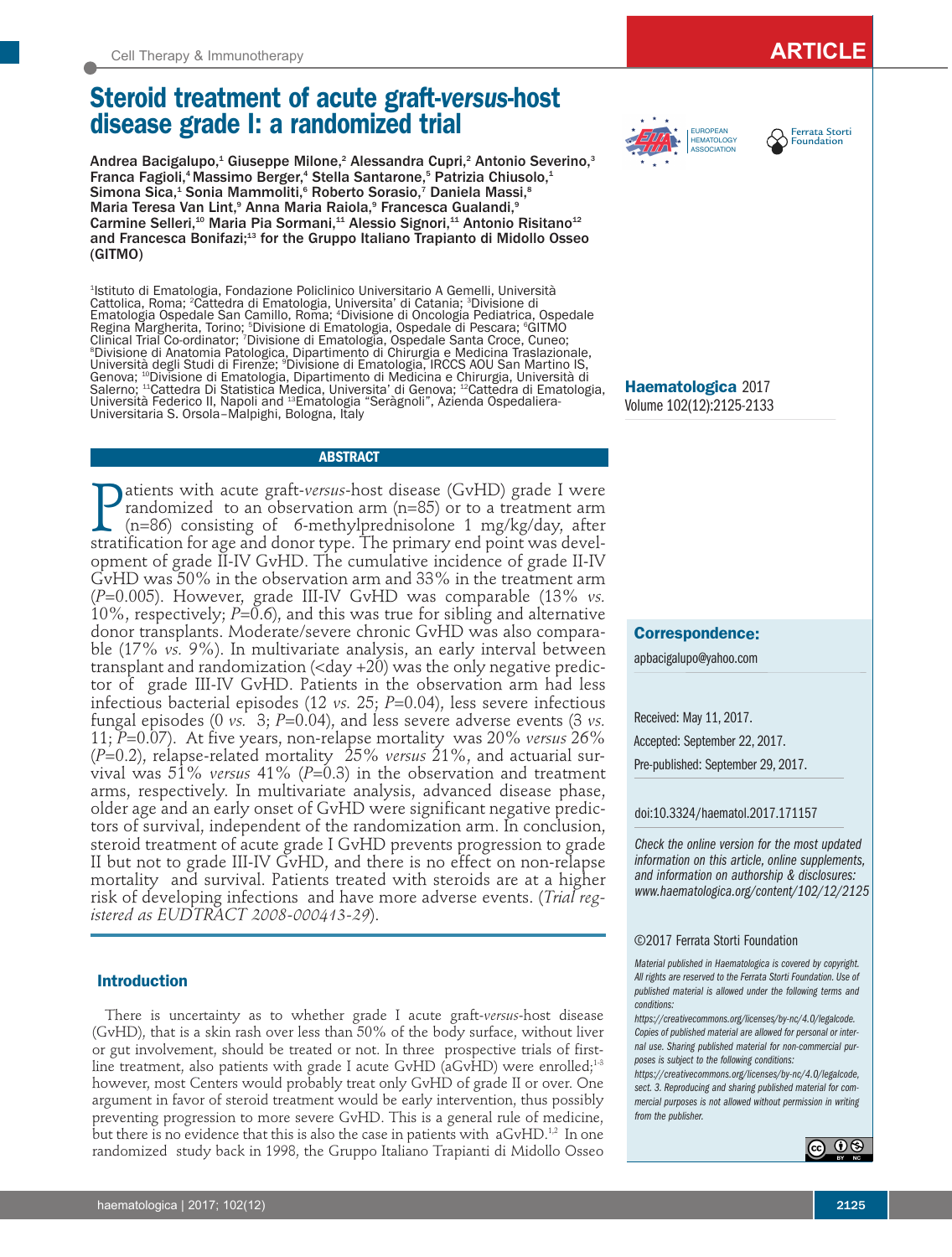# **Steroid treatment of acute graft-***versus***-host disease grade I: a randomized trial**

Andrea Bacigalupo,<sup>1</sup> Giuseppe Milone,<sup>2</sup> Alessandra Cupri,<sup>2</sup> Antonio Severino,<sup>3</sup> Franca Fagioli, <sup>4</sup> Massimo Berger, <sup>4</sup> Stella Santarone, <sup>5</sup> Patrizia Chiusolo, 1 Simona Sica, <sup>1</sup> Sonia Mammoliti, <sup>6</sup> Roberto Sorasio, <sup>7</sup> Daniela Massi, 8 Maria Teresa Van Lint,<sup>9</sup> Anna Maria Raiola,<sup>9</sup> Francesca Gualandi,<sup>9</sup> Carmine Selleri,<sup>10</sup> Maria Pia Sormani,<sup>11</sup> Alessio Signori,<sup>11</sup> Antonio Risitano<sup>12</sup> and Francesca Bonifazi; <sup>13</sup> for the Gruppo Italiano Trapianto di Midollo Osseo (GITMO)

1 Istituto di Ematologia, Fondazione Policlinico Universitario A Gemelli, Università Cattolica, Roma; <sup>2</sup>Cattedra di Ematologia, Universita' di Catania; <sup>3</sup>Divisione di Ematologia Ospedale San Camillo, Roma; <sup>4</sup> Divisione di Oncologia Pediatrica, Ospedale Regina Margherita, Torino; °Divisione di Ematologia, Ospedale di Pescara; °GITMO<br>Clinical Trial Co-ordinator; 'Divisione di Ematologia, Ospedale Santa Croce, Cuneo;<br>°Divisione di Anatomia Patologica, Dinartimento di Chirur <sup>s</sup>Divisione di Anatomia Patologica, Dipartimento di Chirurgia e Medicina Traslazionale,<br>Università degli Studi di Firenze; <sup>9</sup>Divisione di Ematologia, IRCCS AOU San Martino IS, Università degli Studi di Firenze; °Divisione di Ematologia, IRCCS AOU San Martino IS,<br>Genova; 1ºDivisione di Ematologia, Dipartimento di Medicina e Chirurgia, Università di Salerno; <sup>11</sup>Cattedra Di Statistica Medica, Universita' di Genova; <sup>12</sup>Cattedra di Ematologia,<br>Università Federico II, Napoli and 1ªEmatologia "Seràgnoli", Azienda Ospedaliera-Università Federico II, Napoli and <sup>13</sup>Ematologia "Seràgnoli", Azienda Ospedaliera- Universitaria S. Orsola-Malpighi, Bologna, Italy

### **ABSTRACT**

 $\prod_{\text{strat}}$ atients with acute graft-*versus*-host disease (GvHD) grade I were randomized to an observation arm (n=85) or to a treatment arm (n=86) consisting of 6-methylprednisolone 1 mg/kg/day, after stratification for age and donor type. The primary end point was development of grade II-IV GvHD. The cumulative incidence of grade II-IV GvHD was 50% in the observation arm and 33% in the treatment arm (*P*=0.005). However, grade III-IV GvHD was comparable (13% *vs.* 10%, respectively; *P*=0.6), and this was true for sibling and alternative donor transplants. Moderate/severe chronic GvHD was also comparable (17% *vs.* 9%). In multivariate analysis, an early interval between transplant and randomization  $(\text{day} + 20)$  was the only negative predictor of grade III-IV GvHD. Patients in the observation arm had less infectious bacterial episodes (12 *vs.* 25; *P*=0.04), less severe infectious fungal episodes (0 *vs.* 3; *P*=0.04), and less severe adverse events (3 *vs.* 11; *P*=0.07). At five years, non-relapse mortality was 20% *versus* 26% (*P*=0.2), relapse-related mortality 25% *versus* 21%, and actuarial survival was 51% *versus* 41% (*P*=0.3) in the observation and treatment arms, respectively. In multivariate analysis, advanced disease phase, older age and an early onset of GvHD were significant negative predictors of survival, independent of the randomization arm. In conclusion, steroid treatment of acute grade I GvHD prevents progression to grade II but not to grade III-IV GvHD, and there is no effect on non-relapse mortality and survival. Patients treated with steroids are at a higher risk of developing infections and have more adverse events. (*Trial registered as EUDTRACT 2008-000413-29*).

### **Introduction**

There is uncertainty as to whether grade I acute graft-*versus*-host disease (GvHD), that is a skin rash over less than 50% of the body surface, without liver or gut involvement, should be treated or not. In three prospective trials of firstline treatment, also patients with grade I acute GvHD (aGvHD) were enrolled; $^{1\cdot 3}$ however, most Centers would probably treat only GvHD of grade II or over. One argument in favor of steroid treatment would be early intervention, thus possibly preventing progression to more severe GvHD. This is a general rule of medicine, but there is no evidence that this is also the case in patients with  $\rm\,aGvHD.^{1,2}$  In one randomized study back in 1998, the Gruppo Italiano Trapianti di Midollo Osseo





**Haematologica** 2017 Volume 102(12):2125-2133

### **Correspondence:**

apbacigalupo@yahoo.com

Received: May 11, 2017. Accepted: September 22, 2017. Pre-published: September 29, 2017.

### doi:10.3324/haematol.2017.171157

*Check the online version for the most updated information on this article, online supplements, and information on authorship & disclosures: www.haematologica.org/content/102/12/2125*

#### ©2017 Ferrata Storti Foundation

*Material published in Haematologica is covered by copyright. All rights are reserved to the Ferrata Storti Foundation. Use of published material is allowed under the following terms and conditions:*

*https://creativecommons.org/licenses/by-nc/4.0/legalcode. Copies of published material are allowed for personal or internal use. Sharing published material for non-commercial purposes is subject to the following conditions:*

*https://creativecommons.org/licenses/by-nc/4.0/legalcode, sect. 3. Reproducing and sharing published material for commercial purposes is not allowed without permission in writing from the publisher.*

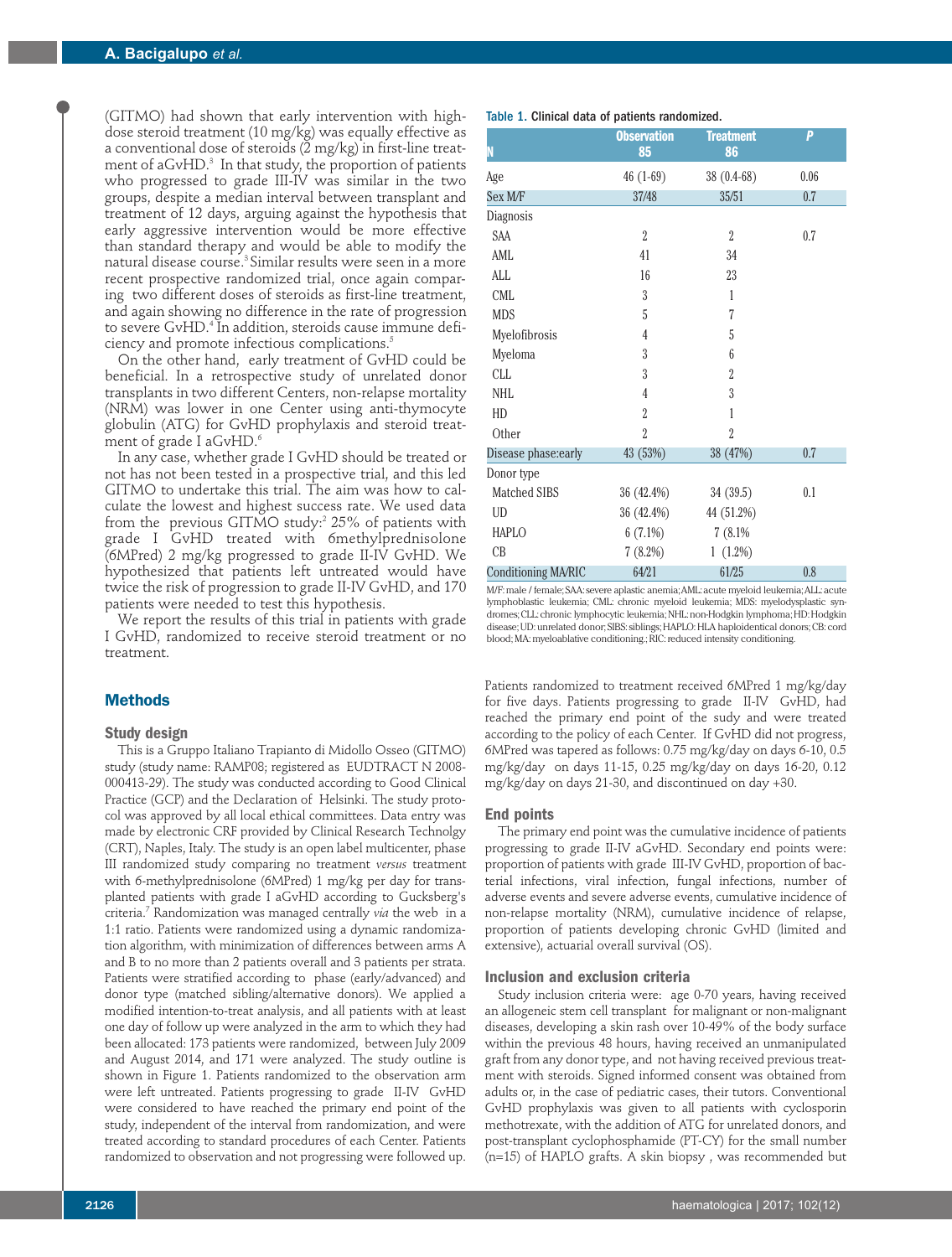(GITMO) had shown that early intervention with highdose steroid treatment (10 mg/kg) was equally effective as a conventional dose of steroids  $(2 \text{ mg/kg})$  in first-line treatment of aGvHD.<sup>3</sup> In that study, the proportion of patients who progressed to grade III-IV was similar in the two groups, despite a median interval between transplant and treatment of 12 days, arguing against the hypothesis that early aggressive intervention would be more effective than standard therapy and would be able to modify the natural disease course.<sup>3</sup> Similar results were seen in a more recent prospective randomized trial, once again comparing two different doses of steroids as first-line treatment, and again showing no difference in the rate of progression to severe GvHD.<sup>4</sup> In addition, steroids cause immune deficiency and promote infectious complications.5

On the other hand, early treatment of GvHD could be beneficial. In a retrospective study of unrelated donor transplants in two different Centers, non-relapse mortality (NRM) was lower in one Center using anti-thymocyte globulin (ATG) for GvHD prophylaxis and steroid treatment of grade I aGvHD.<sup>6</sup>

In any case, whether grade I GvHD should be treated or not has not been tested in a prospective trial, and this led GITMO to undertake this trial. The aim was how to calculate the lowest and highest success rate. We used data from the previous GITMO study: $25\%$  of patients with grade I GvHD treated with 6methylprednisolone (6MPred) 2 mg/kg progressed to grade II-IV GvHD. We hypothesized that patients left untreated would have twice the risk of progression to grade II-IV GvHD, and 170 patients were needed to test this hypothesis.

We report the results of this trial in patients with grade I GvHD, randomized to receive steroid treatment or no treatment.

# **Methods**

### **Study design**

This is a Gruppo Italiano Trapianto di Midollo Osseo (GITMO) study (study name: RAMP08; registered as EUDTRACT N 2008- 000413-29). The study was conducted according to Good Clinical Practice (GCP) and the Declaration of Helsinki. The study protocol was approved by all local ethical committees. Data entry was made by electronic CRF provided by Clinical Research Technolgy (CRT), Naples, Italy. The study is an open label multicenter, phase III randomized study comparing no treatment *versus* treatment with 6-methylprednisolone (6MPred) 1 mg/kg per day for transplanted patients with grade I aGvHD according to Gucksberg's criteria.7 Randomization was managed centrally *via* the web in a 1:1 ratio. Patients were randomized using a dynamic randomization algorithm, with minimization of differences between arms A and B to no more than 2 patients overall and 3 patients per strata. Patients were stratified according to phase (early/advanced) and donor type (matched sibling/alternative donors). We applied a modified intention-to-treat analysis, and all patients with at least one day of follow up were analyzed in the arm to which they had been allocated: 173 patients were randomized, between July 2009 and August 2014, and 171 were analyzed. The study outline is shown in Figure 1. Patients randomized to the observation arm were left untreated. Patients progressing to grade II-IV GvHD were considered to have reached the primary end point of the study, independent of the interval from randomization, and were treated according to standard procedures of each Center. Patients randomized to observation and not progressing were followed up.

### Table 1. Clinical data of patients randomized.

| oai aawa oi         |                          |                        |      |  |  |  |
|---------------------|--------------------------|------------------------|------|--|--|--|
| N                   | <b>Observation</b><br>85 | <b>Treatment</b><br>86 | P    |  |  |  |
| Age                 | $46(1-69)$               | $38(0.4-68)$           | 0.06 |  |  |  |
| Sex M/F             | 37/48                    | 35/51                  | 0.7  |  |  |  |
| Diagnosis           |                          |                        |      |  |  |  |
| SAA                 | $\overline{2}$           | $\overline{2}$         | 0.7  |  |  |  |
| AML                 | 41                       | 34                     |      |  |  |  |
| ALL                 | 16                       | 23                     |      |  |  |  |
| <b>CML</b>          | 3                        | 1                      |      |  |  |  |
| <b>MDS</b>          | 5                        | 7                      |      |  |  |  |
| Myelofibrosis       | $\overline{4}$           | 5                      |      |  |  |  |
| Myeloma             | $\overline{3}$           | 6                      |      |  |  |  |
| CLL                 | $\overline{3}$           | $\overline{2}$         |      |  |  |  |
| NHL                 | $\overline{4}$           | 3                      |      |  |  |  |
| HD                  | $\overline{2}$           | 1                      |      |  |  |  |
| Other               | $\overline{2}$           | $\overline{2}$         |      |  |  |  |
| Disease phase:early | 43 (53%)                 | 38 (47%)               | 0.7  |  |  |  |
| Donor type          |                          |                        |      |  |  |  |
| Matched SIBS        | 36 (42.4%)               | 34 (39.5)              | 0.1  |  |  |  |
| UD                  | 36 (42.4%)               | 44 (51.2%)             |      |  |  |  |
| <b>HAPLO</b>        | $6(7.1\%)$               | 7(8.1%                 |      |  |  |  |
| CB                  | 7(8.2%)                  | $1(1.2\%)$             |      |  |  |  |
| Conditioning MA/RIC | 64/21                    | 61/25                  | 0.8  |  |  |  |

M/F: male / female; SAA: severe aplastic anemia; AML: acute myeloid leukemia; ALL: acute lymphoblastic leukemia; CML: chronic myeloid leukemia; MDS: myelodysplastic syndromes; CLL: chronic lymphocytic leukemia; NHL: non-Hodgkin lymphoma; HD: Hodgkin disease; UD: unrelated donor; SIBS: siblings; HAPLO: HLA haploidentical donors; CB: cord blood; MA: myeloablative conditioning.; RIC: reduced intensity conditioning.

Patients randomized to treatment received 6MPred 1 mg/kg/day for five days. Patients progressing to grade II-IV GvHD, had reached the primary end point of the sudy and were treated according to the policy of each Center. If GvHD did not progress, 6MPred was tapered as follows: 0.75 mg/kg/day on days 6-10, 0.5 mg/kg/day on days 11-15, 0.25 mg/kg/day on days 16-20, 0.12 mg/kg/day on days 21-30, and discontinued on day +30.

### **End points**

The primary end point was the cumulative incidence of patients progressing to grade II-IV aGvHD. Secondary end points were: proportion of patients with grade III-IV GvHD, proportion of bacterial infections, viral infection, fungal infections, number of adverse events and severe adverse events, cumulative incidence of non-relapse mortality (NRM), cumulative incidence of relapse, proportion of patients developing chronic GvHD (limited and extensive), actuarial overall survival (OS).

#### **Inclusion and exclusion criteria**

Study inclusion criteria were: age 0-70 years, having received an allogeneic stem cell transplant for malignant or non-malignant diseases, developing a skin rash over 10-49% of the body surface within the previous 48 hours, having received an unmanipulated graft from any donor type, and not having received previous treatment with steroids. Signed informed consent was obtained from adults or, in the case of pediatric cases, their tutors. Conventional GvHD prophylaxis was given to all patients with cyclosporin methotrexate, with the addition of ATG for unrelated donors, and post-transplant cyclophosphamide (PT-CY) for the small number (n=15) of HAPLO grafts. A skin biopsy , was recommended but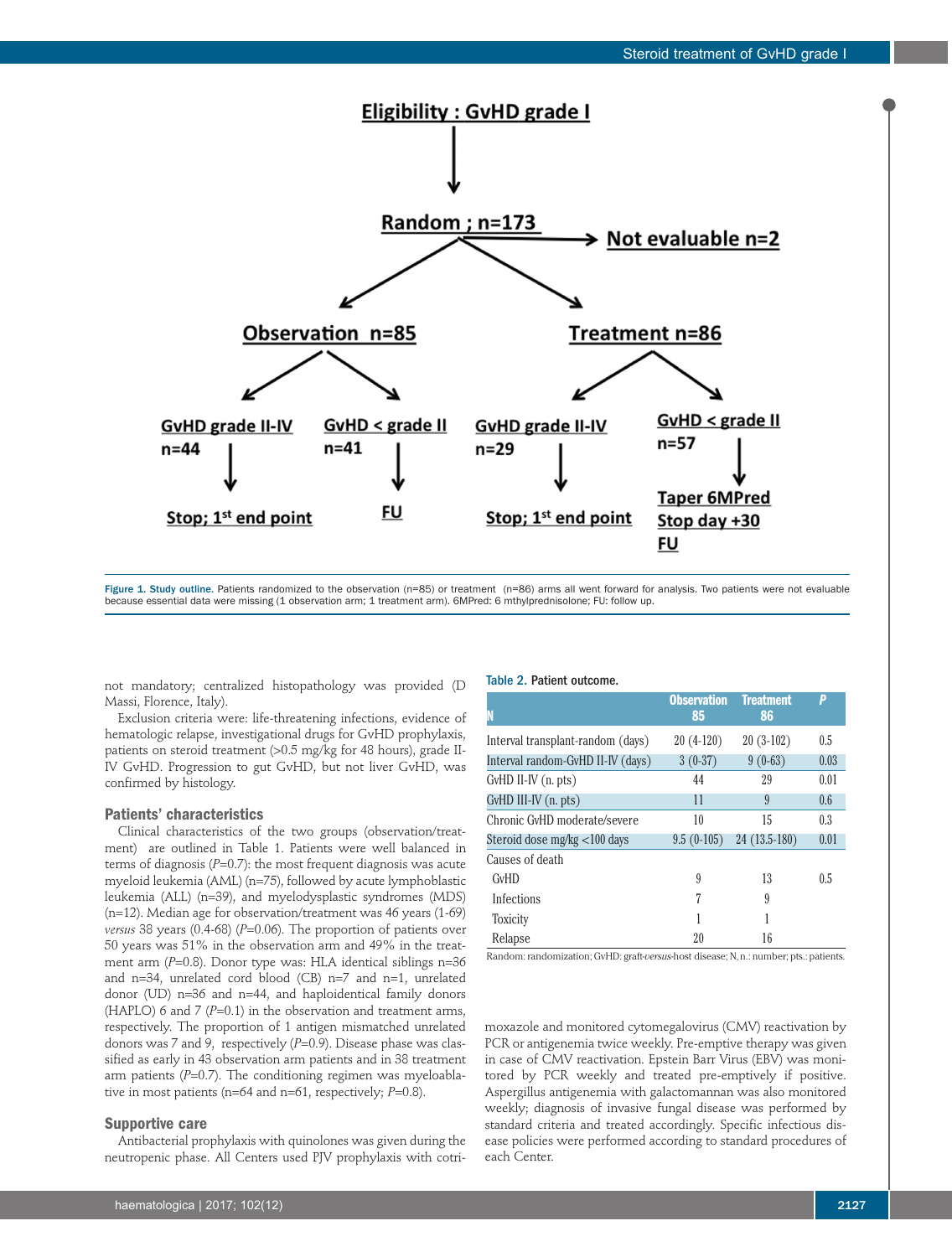

Figure 1. Study outline. Patients randomized to the observation (n=85) or treatment (n=86) arms all went forward for analysis. Two patients were not evaluable because essential data were missing (1 observation arm; 1 treatment arm). 6MPred: 6 mthylprednisolone; FU: follow up

not mandatory; centralized histopathology was provided (D Massi, Florence, Italy).

Exclusion criteria were: life-threatening infections, evidence of hematologic relapse, investigational drugs for GvHD prophylaxis, patients on steroid treatment (>0.5 mg/kg for 48 hours), grade II-IV GvHD. Progression to gut GvHD, but not liver GvHD, was confirmed by histology.

### **Patients' characteristics**

Clinical characteristics of the two groups (observation/treatment) are outlined in Table 1. Patients were well balanced in terms of diagnosis (*P*=0.7): the most frequent diagnosis was acute myeloid leukemia (AML) (n=75), followed by acute lymphoblastic leukemia (ALL) (n=39), and myelodysplastic syndromes (MDS) (n=12). Median age for observation/treatment was 46 years (1-69) *versus* 38 years (0.4-68) (*P*=0.06). The proportion of patients over 50 years was 51% in the observation arm and 49% in the treatment arm (*P*=0.8). Donor type was: HLA identical siblings n=36 and n=34, unrelated cord blood (CB) n=7 and n=1, unrelated donor (UD) n=36 and n=44, and haploidentical family donors (HAPLO) 6 and 7 (*P*=0.1) in the observation and treatment arms, respectively. The proportion of 1 antigen mismatched unrelated donors was 7 and 9, respectively (*P*=0.9). Disease phase was classified as early in 43 observation arm patients and in 38 treatment arm patients (P=0.7). The conditioning regimen was myeloablative in most patients (n=64 and n=61, respectively; *P*=0.8).

### **Supportive care**

Antibacterial prophylaxis with quinolones was given during the neutropenic phase. All Centers used PJV prophylaxis with cotri-

#### Table 2. Patient outcome.

| N                                 | <b>Observation</b><br>85 | <b>Treatment</b><br>86 | P    |
|-----------------------------------|--------------------------|------------------------|------|
| Interval transplant-random (days) | $20(4-120)$              | $20(3-102)$            | 0.5  |
| Interval random-GvHD II-IV (days) | $3(0-37)$                | $9(0-63)$              | 0.03 |
| GvHD II-IV (n. pts)               | 44                       | 29                     | 0.01 |
| GvHD III-IV (n. pts)              | 11                       | 9                      | 0.6  |
| Chronic GvHD moderate/severe      | 10                       | 15                     | 0.3  |
| Steroid dose mg/kg <100 days      | $9.5(0-105)$             | 24 (13.5-180)          | 0.01 |
| Causes of death                   |                          |                        |      |
| <b>GvHD</b>                       | 9                        | 13                     | 0.5  |
| Infections                        | 7                        | 9                      |      |
| <b>Toxicity</b>                   | 1                        | 1                      |      |
| Relapse                           | 20                       | 16                     |      |

Random: randomization; GvHD: graft-*versus*-host disease; N, n.: number; pts.: patients.

moxazole and monitored cytomegalovirus (CMV) reactivation by PCR or antigenemia twice weekly. Pre-emptive therapy was given in case of CMV reactivation. Epstein Barr Virus (EBV) was monitored by PCR weekly and treated pre-emptively if positive. Aspergillus antigenemia with galactomannan was also monitored weekly; diagnosis of invasive fungal disease was performed by standard criteria and treated accordingly. Specific infectious disease policies were performed according to standard procedures of each Center.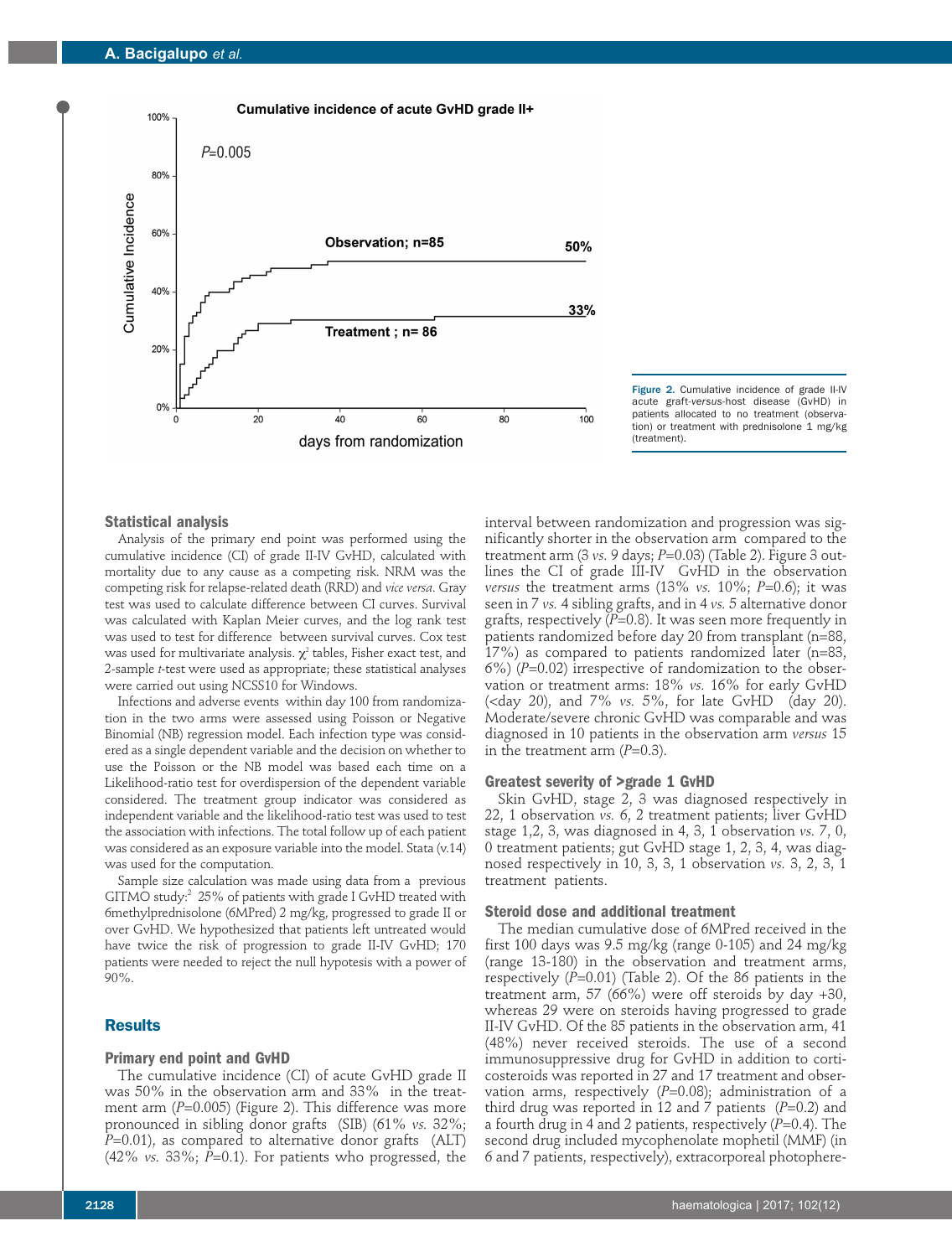



### **Statistical analysis**

Analysis of the primary end point was performed using the cumulative incidence (CI) of grade II-IV GvHD, calculated with mortality due to any cause as a competing risk. NRM was the competing risk for relapse-related death (RRD) and *vice versa*. Gray test was used to calculate difference between CI curves. Survival was calculated with Kaplan Meier curves, and the log rank test was used to test for difference between survival curves. Cox test was used for multivariate analysis.  $\chi^2$  tables, Fisher exact test, and 2-sample *t*-test were used as appropriate; these statistical analyses were carried out using NCSS10 for Windows.

Infections and adverse events within day 100 from randomization in the two arms were assessed using Poisson or Negative Binomial (NB) regression model. Each infection type was considered as a single dependent variable and the decision on whether to use the Poisson or the NB model was based each time on a Likelihood-ratio test for overdispersion of the dependent variable considered. The treatment group indicator was considered as independent variable and the likelihood-ratio test was used to test the association with infections. The total follow up of each patient was considered as an exposure variable into the model. Stata (v.14) was used for the computation.

Sample size calculation was made using data from a previous GITMO study:<sup>2</sup> 25% of patients with grade I GvHD treated with 6methylprednisolone (6MPred) 2 mg/kg, progressed to grade II or over GvHD. We hypothesized that patients left untreated would have twice the risk of progression to grade II-IV GvHD; 170 patients were needed to reject the null hypotesis with a power of 90%.

# **Results**

#### **Primary end point and GvHD**

The cumulative incidence (CI) of acute GvHD grade II was 50% in the observation arm and 33% in the treatment arm (*P*=0.005) (Figure 2). This difference was more pronounced in sibling donor grafts (SIB) (61% *vs.* 32%; *P*=0.01), as compared to alternative donor grafts (ALT) (42% *vs.* 33%; *P*=0.1). For patients who progressed, the

interval between randomization and progression was significantly shorter in the observation arm compared to the treatment arm (3 *vs.* 9 days; *P*=0.03) (Table 2). Figure 3 outlines the CI of grade III-IV GvHD in the observation *versus* the treatment arms (13% *vs.* 10%; *P*=0.6); it was seen in 7 *vs.* 4 sibling grafts, and in 4 *vs.* 5 alternative donor grafts, respectively  $(P=0.8)$ . It was seen more frequently in patients randomized before day 20 from transplant (n=88, 17%) as compared to patients randomized later (n=83, 6%) (*P*=0.02) irrespective of randomization to the observation or treatment arms: 18% *vs.* 16% for early GvHD (<day 20), and 7% *vs.* 5%, for late GvHD (day 20). Moderate/severe chronic GvHD was comparable and was diagnosed in 10 patients in the observation arm *versus* 15 in the treatment arm  $(P=0.3)$ .

### **Greatest severity of >grade 1 GvHD**

Skin GvHD, stage 2, 3 was diagnosed respectively in 22, 1 observation *vs.* 6, 2 treatment patients; liver GvHD stage 1,2, 3, was diagnosed in 4, 3, 1 observation *vs.* 7, 0, 0 treatment patients; gut GvHD stage 1, 2, 3, 4, was diagnosed respectively in 10, 3, 3, 1 observation *vs.* 3, 2, 3, 1 treatment patients.

### **Steroid dose and additional treatment**

The median cumulative dose of 6MPred received in the first 100 days was 9.5 mg/kg (range 0-105) and 24 mg/kg (range 13-180) in the observation and treatment arms, respectively (*P*=0.01) (Table 2). Of the 86 patients in the treatment arm, 57 (66%) were off steroids by day +30, whereas 29 were on steroids having progressed to grade II-IV GvHD. Of the 85 patients in the observation arm, 41 (48%) never received steroids. The use of a second immunosuppressive drug for GvHD in addition to corticosteroids was reported in 27 and 17 treatment and observation arms, respectively  $(P=0.08)$ ; administration of a third drug was reported in 12 and 7 patients (*P*=0.2) and a fourth drug in 4 and 2 patients, respectively (*P*=0.4). The second drug included mycophenolate mophetil (MMF) (in 6 and 7 patients, respectively), extracorporeal photophere-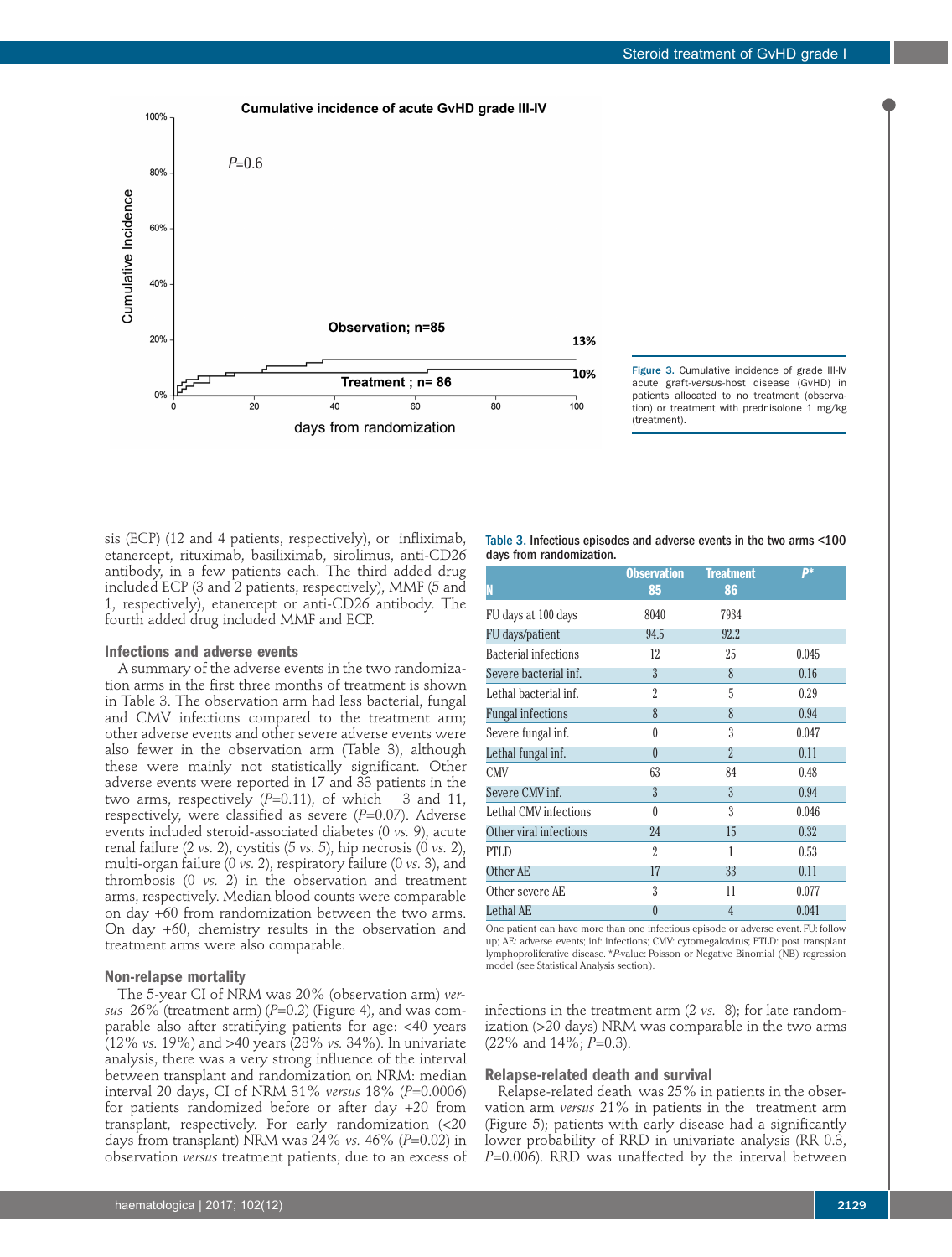



sis (ECP) (12 and 4 patients, respectively), or infliximab, etanercept, rituximab, basiliximab, sirolimus, anti-CD26 antibody, in a few patients each. The third added drug included ECP (3 and 2 patients, respectively), MMF (5 and 1, respectively), etanercept or anti-CD26 antibody. The fourth added drug included MMF and ECP.

### **Infections and adverse events**

A summary of the adverse events in the two randomization arms in the first three months of treatment is shown in Table 3. The observation arm had less bacterial, fungal and CMV infections compared to the treatment arm; other adverse events and other severe adverse events were also fewer in the observation arm (Table 3), although these were mainly not statistically significant. Other adverse events were reported in 17 and 33 patients in the two arms, respectively  $(P=0.11)$ , of which 3 and 11, respectively, were classified as severe (*P*=0.07). Adverse events included steroid-associated diabetes (0 *vs.* 9), acute renal failure (2 *vs.* 2), cystitis (5 *vs.* 5), hip necrosis (0 *vs.* 2), multi-organ failure (0 *vs.* 2), respiratory failure (0 *vs.* 3), and thrombosis (0 *vs.* 2) in the observation and treatment arms, respectively. Median blood counts were comparable on day +60 from randomization between the two arms. On day +60, chemistry results in the observation and treatment arms were also comparable.

#### **Non-relapse mortality**

The 5-year CI of NRM was 20% (observation arm) *versus* 26% (treatment arm) (*P*=0.2) (Figure 4), and was comparable also after stratifying patients for age: <40 years (12% *vs.* 19%) and >40 years (28% *vs.* 34%). In univariate analysis, there was a very strong influence of the interval between transplant and randomization on NRM: median interval 20 days, CI of NRM 31% *versus* 18% (*P*=0.0006) for patients randomized before or after day +20 from transplant, respectively. For early randomization (<20 days from transplant) NRM was 24% *vs.* 46% (*P*=0.02) in observation *versus* treatment patients, due to an excess of Table 3. Infectious episodes and adverse events in the two arms <100 days from randomization.

| N                           | <b>Observation</b><br>85 | <b>Treatment</b><br>86 | <b>p</b> * |
|-----------------------------|--------------------------|------------------------|------------|
| FU days at 100 days         | 8040                     | 7934                   |            |
| FU days/patient             | 94.5                     | 92.2                   |            |
| <b>Bacterial infections</b> | 12                       | 25                     | 0.045      |
| Severe bacterial inf.       | $\overline{3}$           | 8                      | 0.16       |
| Lethal bacterial inf.       | 2                        | 5                      | 0.29       |
| <b>Fungal infections</b>    | 8                        | 8                      | 0.94       |
| Severe fungal inf.          | 0                        | 3                      | 0.047      |
| Lethal fungal inf.          | $\theta$                 | $\overline{2}$         | 0.11       |
| <b>CMV</b>                  | 63                       | 84                     | 0.48       |
| Severe CMV inf.             | $\overline{3}$           | $\overline{3}$         | 0.94       |
| Lethal CMV infections       | $\theta$                 | $\overline{3}$         | 0.046      |
| Other viral infections      | 24                       | 15                     | 0.32       |
| <b>PTLD</b>                 | 2                        | 1                      | 0.53       |
| Other AE                    | 17                       | 33                     | 0.11       |
| Other severe AE             | 3                        | 11                     | 0.077      |
| Lethal AE                   | $\theta$                 | $\overline{4}$         | 0.041      |

One patient can have more than one infectious episode or adverse event. FU: follow up; AE: adverse events; inf: infections; CMV: cytomegalovirus; PTLD: post transplant lymphoproliferative disease. \**P*-value: Poisson or Negative Binomial (NB) regression model (see Statistical Analysis section).

infections in the treatment arm (2 *vs.* 8); for late randomization (>20 days) NRM was comparable in the two arms (22% and 14%; *P*=0.3).

#### **Relapse-related death and survival**

Relapse-related death was 25% in patients in the observation arm *versus* 21% in patients in the treatment arm (Figure 5); patients with early disease had a significantly lower probability of RRD in univariate analysis (RR 0.3, *P*=0.006). RRD was unaffected by the interval between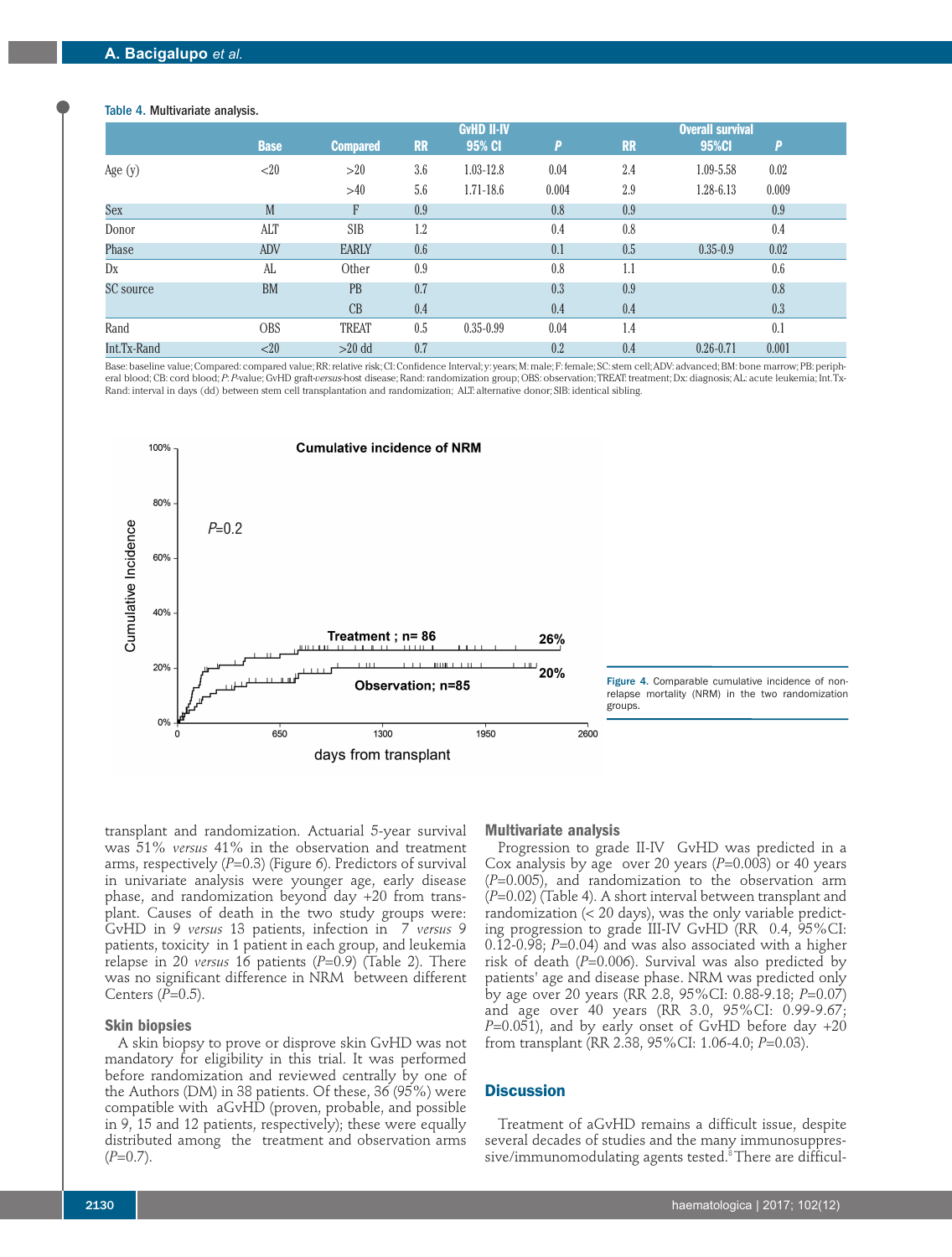### Table 4. Multivariate analysis.

|             |             |                 | <b>GvHD II-IV</b> |               |       | <b>Overall survival</b> |               |       |  |
|-------------|-------------|-----------------|-------------------|---------------|-------|-------------------------|---------------|-------|--|
|             | <b>Base</b> | <b>Compared</b> | <b>RR</b>         | 95% CI        | P     | <b>RR</b>               | 95%Cl         | P     |  |
| Age $(y)$   | <20         | >20             | 3.6               | 1.03-12.8     | 0.04  | 2.4                     | 1.09-5.58     | 0.02  |  |
|             |             | >40             | 5.6               | 1.71-18.6     | 0.004 | 2.9                     | 1.28-6.13     | 0.009 |  |
| Sex         | M           | F               | 0.9               |               | 0.8   | 0.9                     |               | 0.9   |  |
| Donor       | <b>ALT</b>  | <b>SIB</b>      | 1.2               |               | 0.4   | 0.8                     |               | 0.4   |  |
| Phase       | ADV         | <b>EARLY</b>    | 0.6               |               | 0.1   | 0.5                     | $0.35 - 0.9$  | 0.02  |  |
| Dx          | AL          | Other           | 0.9               |               | 0.8   | 1.1                     |               | 0.6   |  |
| SC source   | <b>BM</b>   | <b>PB</b>       | 0.7               |               | 0.3   | 0.9                     |               | 0.8   |  |
|             |             | CB              | 0.4               |               | 0.4   | 0.4                     |               | 0.3   |  |
| Rand        | <b>OBS</b>  | <b>TREAT</b>    | 0.5               | $0.35 - 0.99$ | 0.04  | 1.4                     |               | 0.1   |  |
| Int.Tx-Rand | <20         | $>20$ dd        | 0.7               |               | 0.2   | 0.4                     | $0.26 - 0.71$ | 0.001 |  |

Base: baseline value; Compared: compared value; RR: relative risk; CI: Confidence Interval; y: years; M: male; F: female; SC: stem cell; ADV: advanced; BM: bone marrow; PB: peripheral blood; CB: cord blood; *P*: *P*-value; GvHD graft-*versus*-host disease; Rand: randomization group; OBS: observation; TREAT: treatment; Dx: diagnosis; AL: acute leukemia; Int. Tx-Rand: interval in days (dd) between stem cell transplantation and randomization; ALT: alternative donor; SIB: identical sibling.





transplant and randomization. Actuarial 5-year survival was 51% *versus* 41% in the observation and treatment arms, respectively (*P*=0.3) (Figure 6). Predictors of survival in univariate analysis were younger age, early disease phase, and randomization beyond day +20 from transplant. Causes of death in the two study groups were: GvHD in 9 *versus* 13 patients, infection in 7 *versus* 9 patients, toxicity in 1 patient in each group, and leukemia relapse in 20 *versus* 16 patients (*P*=0.9) (Table 2). There was no significant difference in NRM between different Centers ( $\widetilde{P}=0.5$ ).

#### **Skin biopsies**

A skin biopsy to prove or disprove skin GvHD was not mandatory for eligibility in this trial. It was performed before randomization and reviewed centrally by one of the Authors (DM) in 38 patients. Of these, 36 (95%) were compatible with aGvHD (proven, probable, and possible in 9, 15 and 12 patients, respectively); these were equally distributed among the treatment and observation arms  $(P=0.7)$ .

#### **Multivariate analysis**

Progression to grade II-IV GvHD was predicted in a Cox analysis by age over 20 years (*P*=0.003) or 40 years (*P*=0.005), and randomization to the observation arm (*P*=0.02) (Table 4). A short interval between transplant and randomization (< 20 days), was the only variable predicting progression to grade III-IV GvHD (RR 0.4, 95%CI: 0.12-0.98; *P*=0.04) and was also associated with a higher risk of death (*P*=0.006). Survival was also predicted by patients' age and disease phase. NRM was predicted only by age over 20 years (RR 2.8, 95%CI: 0.88-9.18; *P*=0.07) and age over 40 years (RR 3.0, 95%CI: 0.99-9.67; *P*=0.051), and by early onset of GvHD before day +20 from transplant (RR 2.38, 95%CI: 1.06-4.0; *P*=0.03).

## **Discussion**

Treatment of aGvHD remains a difficult issue, despite several decades of studies and the many immunosuppressive/immunomodulating agents tested.<sup>8</sup> There are difficul-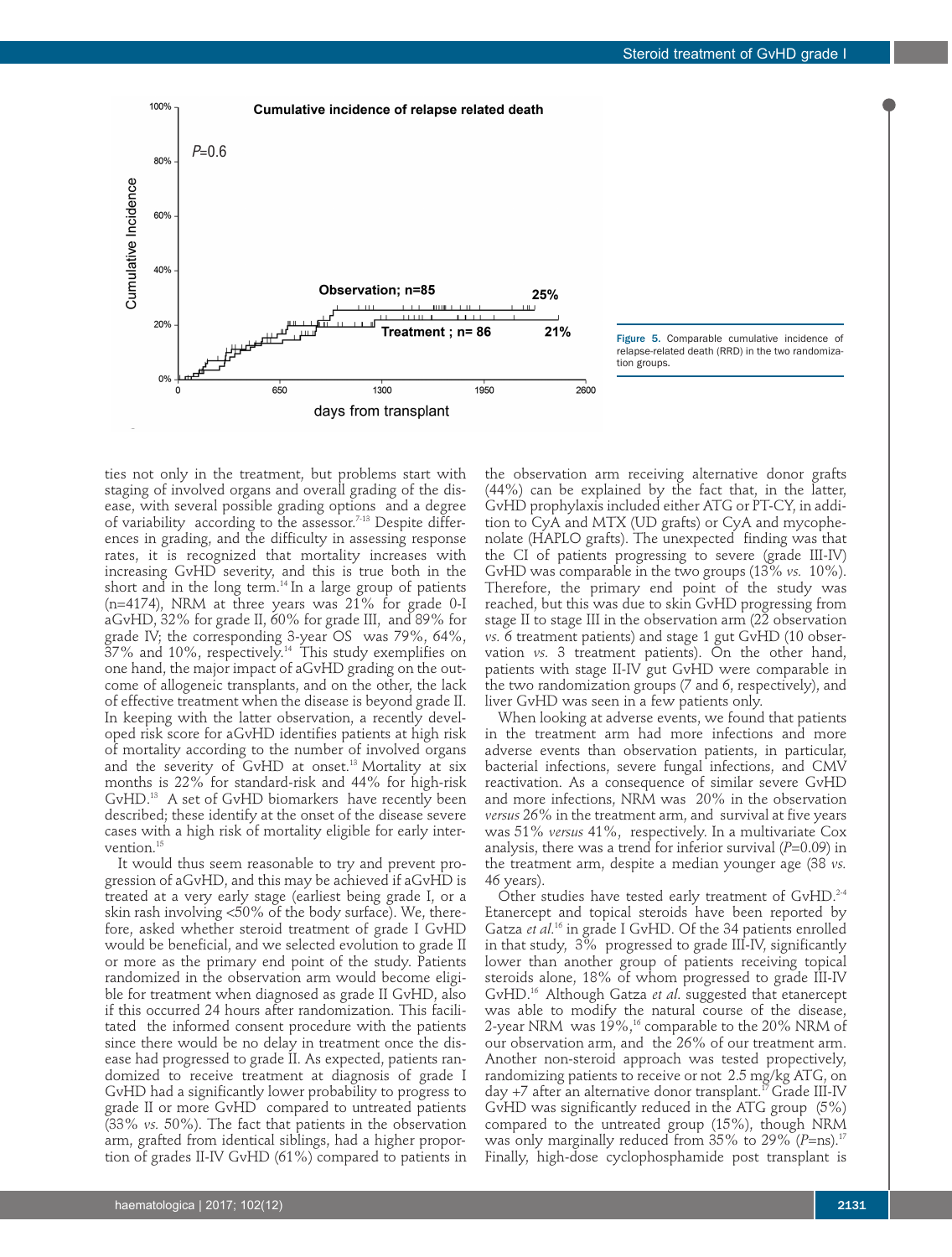

ties not only in the treatment, but problems start with staging of involved organs and overall grading of the disease, with several possible grading options and a degree of variability according to the assessor.<sup>7-13</sup> Despite differences in grading, and the difficulty in assessing response rates, it is recognized that mortality increases with increasing GvHD severity, and this is true both in the short and in the long term. $14$  In a large group of patients (n=4174), NRM at three years was 21% for grade 0-I aGvHD, 32% for grade II, 60% for grade III, and 89% for grade IV; the corresponding 3-year OS was 79%, 64%,  $37\%$  and  $10\%$ , respectively.<sup>14</sup> This study exemplifies on one hand, the major impact of aGvHD grading on the outcome of allogeneic transplants, and on the other, the lack of effective treatment when the disease is beyond grade II. In keeping with the latter observation, a recently developed risk score for aGvHD identifies patients at high risk of mortality according to the number of involved organs and the severity of GvHD at onset.<sup>13</sup> Mortality at six months is 22% for standard-risk and 44% for high-risk GvHD.13 A set of GvHD biomarkers have recently been described; these identify at the onset of the disease severe cases with a high risk of mortality eligible for early intervention.<sup>15</sup>

It would thus seem reasonable to try and prevent progression of aGvHD, and this may be achieved if aGvHD is treated at a very early stage (earliest being grade I, or a skin rash involving <50% of the body surface). We, therefore, asked whether steroid treatment of grade I GvHD would be beneficial, and we selected evolution to grade II or more as the primary end point of the study. Patients randomized in the observation arm would become eligible for treatment when diagnosed as grade II GvHD, also if this occurred 24 hours after randomization. This facilitated the informed consent procedure with the patients since there would be no delay in treatment once the disease had progressed to grade II. As expected, patients randomized to receive treatment at diagnosis of grade I GvHD had a significantly lower probability to progress to grade II or more GvHD compared to untreated patients (33% *vs.* 50%). The fact that patients in the observation arm, grafted from identical siblings, had a higher proportion of grades II-IV GvHD (61%) compared to patients in

the observation arm receiving alternative donor grafts (44%) can be explained by the fact that, in the latter, GvHD prophylaxis included either ATG or PT-CY, in addition to CyA and MTX (UD grafts) or CyA and mycophenolate (HAPLO grafts). The unexpected finding was that the CI of patients progressing to severe (grade III-IV) GvHD was comparable in the two groups (13% *vs.* 10%). Therefore, the primary end point of the study was reached, but this was due to skin GvHD progressing from stage II to stage III in the observation arm (22 observation *vs.* 6 treatment patients) and stage 1 gut GvHD (10 observation *vs.* 3 treatment patients). On the other hand, patients with stage II-IV gut GvHD were comparable in the two randomization groups (7 and 6, respectively), and liver GvHD was seen in a few patients only.

When looking at adverse events, we found that patients in the treatment arm had more infections and more adverse events than observation patients, in particular, bacterial infections, severe fungal infections, and CMV reactivation. As a consequence of similar severe GvHD and more infections, NRM was 20% in the observation *versus* 26% in the treatment arm, and survival at five years was 51% *versus* 41%, respectively. In a multivariate Cox analysis, there was a trend for inferior survival (*P*=0.09) in the treatment arm, despite a median younger age (38 *vs.* 46 years).

Other studies have tested early treatment of GvHD.<sup>2-4</sup> Etanercept and topical steroids have been reported by Gatza *et al*. 16 in grade I GvHD. Of the 34 patients enrolled in that study, 3% progressed to grade III-IV, significantly lower than another group of patients receiving topical steroids alone, 18% of whom progressed to grade III-IV GvHD.16 Although Gatza *et al*. suggested that etanercept was able to modify the natural course of the disease, 2-year NRM was 19%,<sup>16</sup> comparable to the 20% NRM of our observation arm, and the 26% of our treatment arm. Another non-steroid approach was tested propectively, randomizing patients to receive or not 2.5 mg/kg ATG, on day  $+7$  after an alternative donor transplant.<sup>17</sup> Grade III-IV GvHD was significantly reduced in the ATG group (5%) compared to the untreated group (15%), though NRM was only marginally reduced from 35% to 29% (*P*=ns).<sup>1</sup> Finally, high-dose cyclophosphamide post transplant is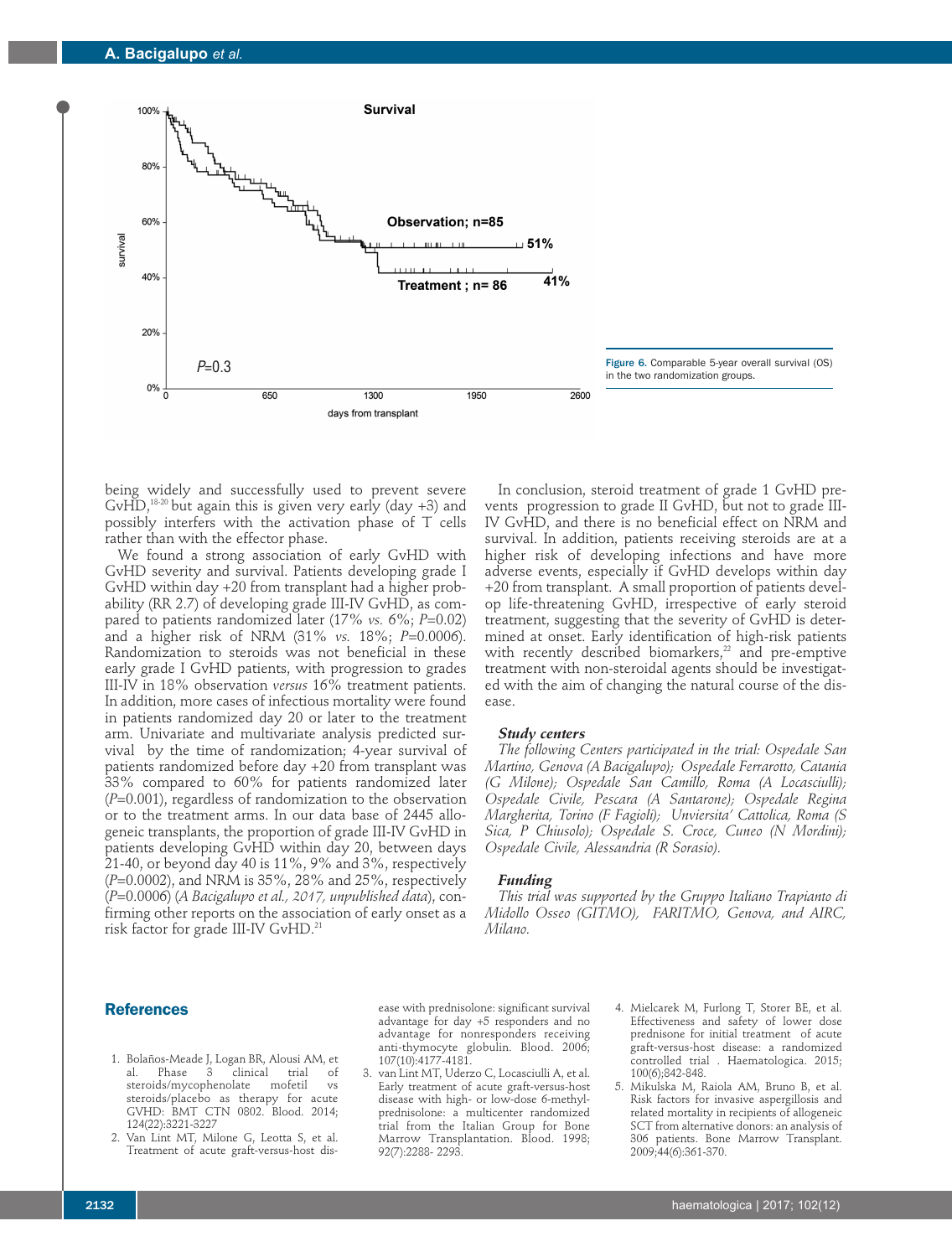

being widely and successfully used to prevent severe GvHD,<sup>18-20</sup> but again this is given very early (day  $+3$ ) and possibly interfers with the activation phase of T cells rather than with the effector phase.

We found a strong association of early GvHD with GvHD severity and survival. Patients developing grade I GvHD within day +20 from transplant had a higher probability (RR 2.7) of developing grade III-IV GvHD, as compared to patients randomized later (17% *vs.* 6%; *P*=0.02) and a higher risk of NRM (31% *vs.* 18%; *P*=0.0006). Randomization to steroids was not beneficial in these early grade I GvHD patients, with progression to grades III-IV in 18% observation *versus* 16% treatment patients. In addition, more cases of infectious mortality were found in patients randomized day 20 or later to the treatment arm. Univariate and multivariate analysis predicted survival by the time of randomization; 4-year survival of patients randomized before day +20 from transplant was 33% compared to 60% for patients randomized later (*P*=0.001), regardless of randomization to the observation or to the treatment arms. In our data base of 2445 allogeneic transplants, the proportion of grade III-IV GvHD in patients developing GvHD within day 20, between days 21-40, or beyond day 40 is 11%, 9% and 3%, respectively (*P*=0.0002), and NRM is 35%, 28% and 25%, respectively (*P*=0.0006) (*A Bacigalupo et al., 2017, unpublished data*), confirming other reports on the association of early onset as a risk factor for grade III-IV GvHD.<sup>21</sup>

In conclusion, steroid treatment of grade 1 GvHD prevents progression to grade II GvHD, but not to grade III-IV GvHD, and there is no beneficial effect on NRM and survival. In addition, patients receiving steroids are at a higher risk of developing infections and have more adverse events, especially if GvHD develops within day +20 from transplant. A small proportion of patients develop life-threatening GvHD, irrespective of early steroid treatment, suggesting that the severity of GvHD is determined at onset. Early identification of high-risk patients with recently described biomarkers,<sup>22</sup> and pre-emptive treatment with non-steroidal agents should be investigated with the aim of changing the natural course of the disease.

### *Study centers*

*The following Centers participated in the trial: Ospedale San Martino, Genova (A Bacigalupo); Ospedale Ferrarotto, Catania (G Milone); Ospedale San Camillo, Roma (A Locasciulli); Ospedale Civile, Pescara (A Santarone); Ospedale Regina Margherita, Torino (F Fagioli); Unviersita' Cattolica, Roma (S Sica, P Chiusolo); Ospedale S. Croce, Cuneo (N Mordini); Ospedale Civile, Alessandria (R Sorasio).*

### *Funding*

*This trial was supported by the Gruppo Italiano Trapianto di Midollo Osseo (GITMO), FARITMO, Genova, and AIRC, Milano.* 

### **References**

- 1. Bolaños-Meade J, Logan BR, Alousi AM, et al. Phase 3 clinical trial of steroids/mycophenolate mofetil vs steroids/placebo as therapy for acute GVHD: BMT CTN 0802. Blood. 2014; 124(22):3221-3227
- 2. Van Lint MT, Milone G, Leotta S, et al. Treatment of acute graft-versus-host dis-

ease with prednisolone: significant survival advantage for day +5 responders and no advantage for nonresponders receiving anti-thymocyte globulin. Blood. 2006; 107(10):4177-4181.

- 3. van Lint MT, Uderzo C, Locasciulli A, et al. Early treatment of acute graft-versus-host disease with high- or low-dose 6-methylprednisolone: a multicenter randomized trial from the Italian Group for Bone Marrow Transplantation. Blood. 1998; 92(7):2288- 2293.
- 4. Mielcarek M, Furlong T, Storer BE, et al. Effectiveness and safety of lower dose prednisone for initial treatment of acute graft-versus-host disease: a randomized controlled trial . Haematologica. 2015; 100(6);842-848.
- 5. Mikulska M, Raiola AM, Bruno B, et al. Risk factors for invasive aspergillosis and related mortality in recipients of allogeneic SCT from alternative donors: an analysis of 306 patients. Bone Marrow Transplant. 2009;44(6):361-370.